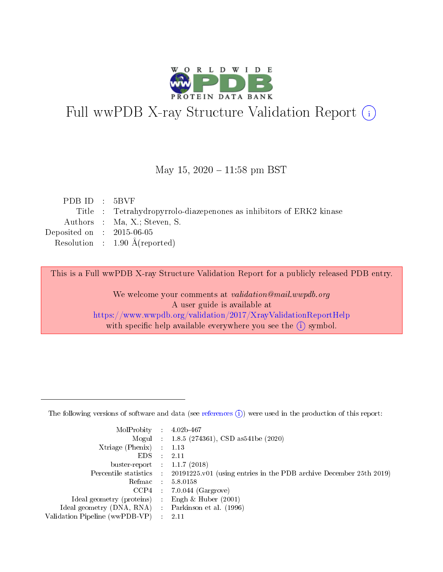

# Full wwPDB X-ray Structure Validation Report (i)

#### May 15,  $2020 - 11:58$  pm BST

| PDBID : 5BVF                |                                                                     |
|-----------------------------|---------------------------------------------------------------------|
|                             | Title : Tetrahydropyrrolo-diazepenones as inhibitors of ERK2 kinase |
|                             | Authors : Ma, X.; Steven, S.                                        |
| Deposited on : $2015-06-05$ |                                                                     |
|                             | Resolution : $1.90 \text{ Å}$ (reported)                            |
|                             |                                                                     |

This is a Full wwPDB X-ray Structure Validation Report for a publicly released PDB entry.

We welcome your comments at validation@mail.wwpdb.org A user guide is available at <https://www.wwpdb.org/validation/2017/XrayValidationReportHelp> with specific help available everywhere you see the  $(i)$  symbol.

The following versions of software and data (see [references](https://www.wwpdb.org/validation/2017/XrayValidationReportHelp#references)  $(1)$ ) were used in the production of this report:

| $MolProbability$ 4.02b-467                          |               |                                                                                            |
|-----------------------------------------------------|---------------|--------------------------------------------------------------------------------------------|
|                                                     |               | Mogul : 1.8.5 (274361), CSD as 541be (2020)                                                |
| $Xtriangle (Phenix)$ : 1.13                         |               |                                                                                            |
| EDS -                                               | $\mathcal{L}$ | 2.11                                                                                       |
| buster-report : $1.1.7(2018)$                       |               |                                                                                            |
|                                                     |               | Percentile statistics : 20191225.v01 (using entries in the PDB archive December 25th 2019) |
| Refmac $5.8.0158$                                   |               |                                                                                            |
|                                                     |               | $CCP4$ : 7.0.044 (Gargrove)                                                                |
| Ideal geometry (proteins) :                         |               | Engh $\&$ Huber (2001)                                                                     |
| Ideal geometry (DNA, RNA) : Parkinson et al. (1996) |               |                                                                                            |
| Validation Pipeline (wwPDB-VP) : 2.11               |               |                                                                                            |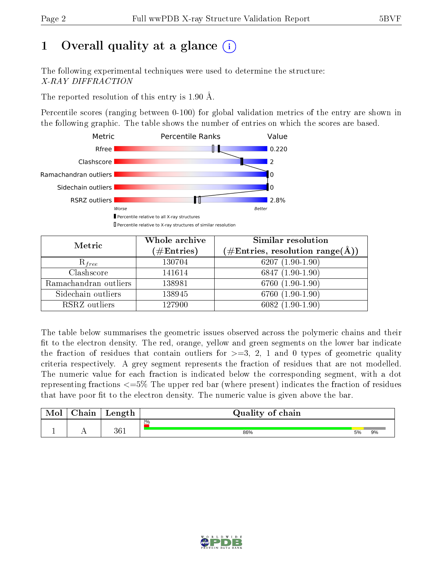# 1 [O](https://www.wwpdb.org/validation/2017/XrayValidationReportHelp#overall_quality)verall quality at a glance  $(i)$

The following experimental techniques were used to determine the structure: X-RAY DIFFRACTION

The reported resolution of this entry is 1.90 Å.

Percentile scores (ranging between 0-100) for global validation metrics of the entry are shown in the following graphic. The table shows the number of entries on which the scores are based.



| Metric                | Whole archive<br>$(\#\mathrm{Entries})$ | Similar resolution<br>$(\#\text{Entries}, \text{resolution range}(\text{\AA}))$ |  |  |
|-----------------------|-----------------------------------------|---------------------------------------------------------------------------------|--|--|
| $R_{free}$            | 130704                                  | 6207 $(1.90-1.90)$                                                              |  |  |
| Clashscore            | 141614                                  | 6847 $(1.90-1.90)$                                                              |  |  |
| Ramachandran outliers | 138981                                  | $6760(1.90-1.90)$                                                               |  |  |
| Sidechain outliers    | 138945                                  | 6760 (1.90-1.90)                                                                |  |  |
| RSRZ outliers         | 127900                                  | $6082(1.90-1.90)$                                                               |  |  |

The table below summarises the geometric issues observed across the polymeric chains and their fit to the electron density. The red, orange, yellow and green segments on the lower bar indicate the fraction of residues that contain outliers for  $>=3, 2, 1$  and 0 types of geometric quality criteria respectively. A grey segment represents the fraction of residues that are not modelled. The numeric value for each fraction is indicated below the corresponding segment, with a dot representing fractions <=5% The upper red bar (where present) indicates the fraction of residues that have poor fit to the electron density. The numeric value is given above the bar.

| Mol | $\cap$ hain | Length | Quality of chain |    |    |  |  |  |
|-----|-------------|--------|------------------|----|----|--|--|--|
|     |             |        | $2\%$            |    |    |  |  |  |
|     |             | 361    | 86%              | 5% | 9% |  |  |  |

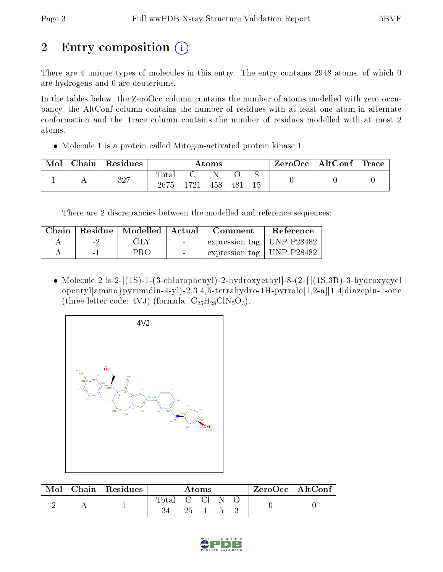# 2 Entry composition  $\left( \cdot \right)$

There are 4 unique types of molecules in this entry. The entry contains 2948 atoms, of which 0 are hydrogens and 0 are deuteriums.

In the tables below, the ZeroOcc column contains the number of atoms modelled with zero occupancy, the AltConf column contains the number of residues with at least one atom in alternate conformation and the Trace column contains the number of residues modelled with at most 2 atoms.

Molecule 1 is a protein called Mitogen-activated protein kinase 1.

| Mol | Chain | Residues | Atoms               |      |     |     | ZeroOcc | $\mid$ AltConf $\mid$ Trace |  |  |
|-----|-------|----------|---------------------|------|-----|-----|---------|-----------------------------|--|--|
|     |       | 327      | $\rm Total$<br>2675 | 1721 | 458 | 481 | 15      |                             |  |  |

There are 2 discrepancies between the modelled and reference sequences:

| Chain |                          | Residue   Modelled   Actual |                 | Comment                           | Reference |
|-------|--------------------------|-----------------------------|-----------------|-----------------------------------|-----------|
|       | $\overline{\phantom{a}}$ | GLY                         | <b>Contract</b> | expression tag   UNP P28482       |           |
|       | $\sim$                   | PRO                         | $\sim$          | $\pm$ expression tag   UNP P28482 |           |

• Molecule 2 is 2- $[(1S)$ -1- $(3$ -chlorophenyl $)-2$ -hydroxyethyl $]-8-(2-{[(1S,3R)-3-hydroxycycl}$ opentyl]amino}pyrimidin-4-yl)-2,3,4,5-tetrahydro-1H-pyrrolo[1,2-a][1,4]diazepin-1-one (three-letter code: 4VJ) (formula:  $C_{25}H_{28}C_{18}O_3$ ).



| Mol | Chain   Residues | Atoms        |              |  |                | $\mathsf{ZeroOcc} \mid \mathsf{AltConf} \mid$ |  |  |
|-----|------------------|--------------|--------------|--|----------------|-----------------------------------------------|--|--|
|     |                  | Total C Cl N | $25 \quad 1$ |  | $\overline{a}$ |                                               |  |  |
|     |                  |              |              |  |                |                                               |  |  |

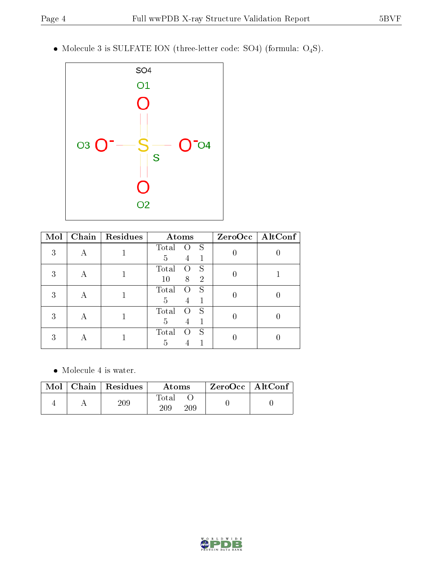Molecule 3 is SULFATE ION (three-letter code: SO4) (formula: O4S).



| Mol | Chain | Residues | Atoms                            |                  | ZeroOcc   AltConf |  |
|-----|-------|----------|----------------------------------|------------------|-------------------|--|
| 3   |       |          | Total<br>S<br>0                  |                  |                   |  |
|     |       |          | 1<br>5<br>4                      |                  |                   |  |
| 3   |       |          | Total<br>S<br>0                  |                  |                   |  |
|     |       |          | 10<br>8<br>$\overline{2}$        |                  |                   |  |
| 3   | А     |          | S<br>Total<br>$\left( \right)$   | $\left( \right)$ |                   |  |
|     |       |          | 5<br>1<br>4                      |                  |                   |  |
| 3   | А     |          | Total<br>S<br>$\left( \ \right)$ |                  |                   |  |
|     |       |          | 5<br>1<br>4                      |                  |                   |  |
| 3   |       |          | S<br>Total                       |                  |                   |  |
|     |       |          | 5                                |                  |                   |  |

 $\bullet\,$  Molecule 4 is water.

|  | $Mol$   Chain   Residues | Atoms               | $\mid$ ZeroOcc $\mid$ AltConf $\mid$ |  |
|--|--------------------------|---------------------|--------------------------------------|--|
|  |                          | Total<br>209<br>209 |                                      |  |

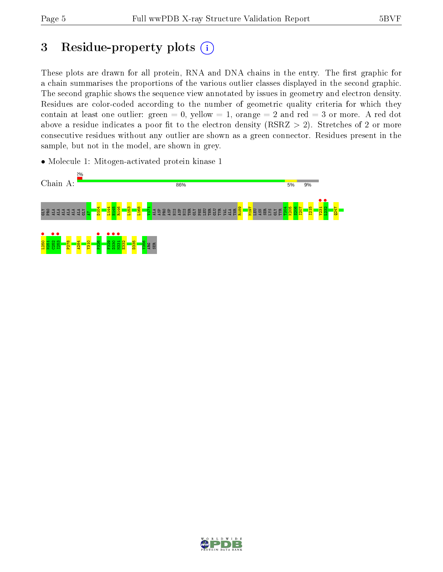## 3 Residue-property plots  $(i)$

These plots are drawn for all protein, RNA and DNA chains in the entry. The first graphic for a chain summarises the proportions of the various outlier classes displayed in the second graphic. The second graphic shows the sequence view annotated by issues in geometry and electron density. Residues are color-coded according to the number of geometric quality criteria for which they contain at least one outlier: green  $= 0$ , yellow  $= 1$ , orange  $= 2$  and red  $= 3$  or more. A red dot above a residue indicates a poor fit to the electron density (RSRZ  $> 2$ ). Stretches of 2 or more consecutive residues without any outlier are shown as a green connector. Residues present in the sample, but not in the model, are shown in grey.

• Molecule 1: Mitogen-activated protein kinase 1



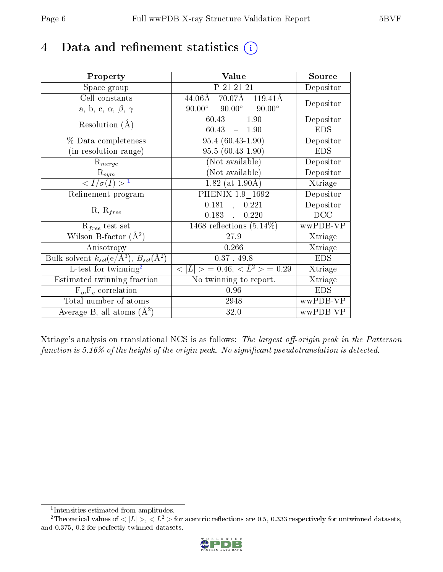## 4 Data and refinement statistics  $(i)$

| Property                                                         | Value                                                    | Source     |
|------------------------------------------------------------------|----------------------------------------------------------|------------|
| Space group                                                      | P 21 21 21                                               | Depositor  |
| Cell constants                                                   | $44.06\text{\AA}$ 70.07 $\text{\AA}$ 119.41 $\text{\AA}$ | Depositor  |
| a, b, c, $\alpha$ , $\beta$ , $\gamma$                           | $90.00^{\circ}$ $90.00^{\circ}$<br>$90.00^\circ$         |            |
| Resolution $(A)$                                                 | 60.43<br>$-1.90$                                         | Depositor  |
|                                                                  | $60.43 - 1.90$                                           | <b>EDS</b> |
| % Data completeness                                              | $95.4(60.43-1.90)$                                       | Depositor  |
| (in resolution range)                                            | $95.5(60.43-1.90)$                                       | <b>EDS</b> |
| $R_{merge}$                                                      | (Not available)                                          | Depositor  |
| $\mathrm{R}_{sym}$                                               | (Not available)                                          | Depositor  |
| $\langle I/\sigma(I) \rangle^{-1}$                               | $1.82$ (at 1.90Å)                                        | Xtriage    |
| Refinement program                                               | PHENIX 1.9 1692                                          | Depositor  |
|                                                                  | 0.181<br>0.221<br>$\mathcal{A}^{\mathcal{A}}$            | Depositor  |
| $R, R_{free}$                                                    | 0.183,<br>0.220                                          | DCC        |
| $R_{free}$ test set                                              | 1468 reflections $(5.14\%)$                              | wwPDB-VP   |
| Wilson B-factor $(A^2)$                                          | 27.9                                                     | Xtriage    |
| Anisotropy                                                       | 0.266                                                    | Xtriage    |
| Bulk solvent $k_{sol}(\text{e}/\text{A}^3), B_{sol}(\text{A}^2)$ | 0.37, 49.8                                               | <b>EDS</b> |
| L-test for $\mathrm{twinning}^2$                                 | $< L >$ = 0.46, $< L2 >$ = 0.29                          | Xtriage    |
| Estimated twinning fraction                                      | No twinning to report.                                   | Xtriage    |
| $\overline{F_o}, \overline{F_c}$ correlation                     | 0.96                                                     | <b>EDS</b> |
| Total number of atoms                                            | 2948                                                     | wwPDB-VP   |
| Average B, all atoms $(A^2)$                                     | 32.0                                                     | wwPDB-VP   |

Xtriage's analysis on translational NCS is as follows: The largest off-origin peak in the Patterson function is  $5.16\%$  of the height of the origin peak. No significant pseudotranslation is detected.

<sup>&</sup>lt;sup>2</sup>Theoretical values of  $\langle |L| \rangle$ ,  $\langle L^2 \rangle$  for acentric reflections are 0.5, 0.333 respectively for untwinned datasets, and 0.375, 0.2 for perfectly twinned datasets.



<span id="page-5-1"></span><span id="page-5-0"></span><sup>1</sup> Intensities estimated from amplitudes.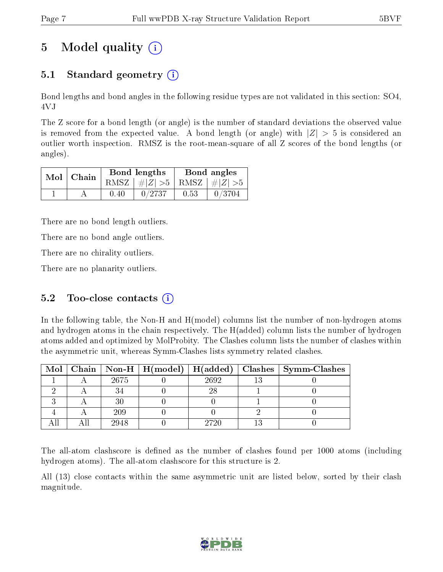## 5 Model quality  $(i)$

## 5.1 Standard geometry  $(i)$

Bond lengths and bond angles in the following residue types are not validated in this section: SO4, 4VJ

The Z score for a bond length (or angle) is the number of standard deviations the observed value is removed from the expected value. A bond length (or angle) with  $|Z| > 5$  is considered an outlier worth inspection. RMSZ is the root-mean-square of all Z scores of the bond lengths (or angles).

| $Mol$   Chain |        | Bond lengths                    | Bond angles |        |  |
|---------------|--------|---------------------------------|-------------|--------|--|
|               |        | RMSZ $ #Z  > 5$ RMSZ $ #Z  > 5$ |             |        |  |
|               | (1.40) | 0/2737                          | 0.53        | 0/3704 |  |

There are no bond length outliers.

There are no bond angle outliers.

There are no chirality outliers.

There are no planarity outliers.

### 5.2 Too-close contacts  $(i)$

In the following table, the Non-H and H(model) columns list the number of non-hydrogen atoms and hydrogen atoms in the chain respectively. The H(added) column lists the number of hydrogen atoms added and optimized by MolProbity. The Clashes column lists the number of clashes within the asymmetric unit, whereas Symm-Clashes lists symmetry related clashes.

|  |      |      | Mol   Chain   Non-H   H(model)   H(added)   Clashes   Symm-Clashes |
|--|------|------|--------------------------------------------------------------------|
|  | 2675 | 2692 |                                                                    |
|  |      |      |                                                                    |
|  |      |      |                                                                    |
|  | 209  |      |                                                                    |
|  | 2948 | 2720 |                                                                    |

The all-atom clashscore is defined as the number of clashes found per 1000 atoms (including hydrogen atoms). The all-atom clashscore for this structure is 2.

All (13) close contacts within the same asymmetric unit are listed below, sorted by their clash magnitude.

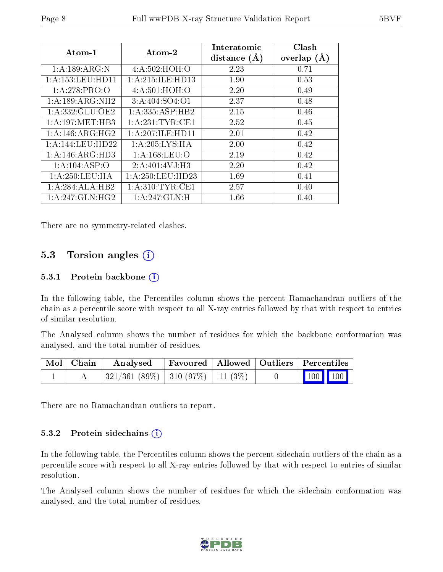| Atom-1               | Atom-2                     | Interatomic<br>distance $(A)$ | Clash<br>overlap $(A)$ |
|----------------------|----------------------------|-------------------------------|------------------------|
| 1:A:189:ARG:N        | 4:A:502:HOH:O              | 2.23                          | 0.71                   |
| 1: A: 153: LEU: HD11 | 1: A:215: ILE: HD13        | 1.90                          | 0.53                   |
| 1: A:278: PRO:O      | 4: A:501:HOH:O             | 2.20                          | 0.49                   |
| 1:A:189:ARG:NH2      | 3: A:404:SO4:O1            | 2.37                          | 0.48                   |
| 1:A:332:GLU:OE2      | 1:A:335:ASP:HB2            | 2.15                          | 0.46                   |
| 1: A: 197: MET: HB3  | 1: A:231:TYR:CE1           | 2.52                          | 0.45                   |
| 1: A:146: ARG: HG2   | 1: A:207: ILE: HDI1        | 2.01                          | 0.42                   |
| 1:A:144:LEU:HD22     | 1: A:205: LYS: HA          | 2.00                          | 0.42                   |
| 1:A:146:ARG:HD3      | 1:A:168:LEU:O              | 2.19                          | 0.42                   |
| 1:A:104:ASP:O        | 2:A:401:4VJ:H3             | 2.20                          | 0.42                   |
| 1: A:250:LEU:HA      | 1:A:250:LEU:HD23           | 1.69                          | 0.41                   |
| 1:A:284:ALA:HB2      | 1: A:310: TYR: CE1         | 2.57                          | 0.40                   |
| 1:A:247:GLN:HG2      | $1:A:247:GLN:\overline{H}$ | 1.66                          | 0.40                   |

There are no symmetry-related clashes.

#### 5.3 Torsion angles  $(i)$

#### 5.3.1 Protein backbone  $(i)$

In the following table, the Percentiles column shows the percent Ramachandran outliers of the chain as a percentile score with respect to all X-ray entries followed by that with respect to entries of similar resolution.

The Analysed column shows the number of residues for which the backbone conformation was analysed, and the total number of residues.

| Mol   Chain | Analysed                            |  | Favoured   Allowed   Outliers   Percentiles                  |
|-------------|-------------------------------------|--|--------------------------------------------------------------|
|             | $321/361(89\%)$ 310 (97\%) 11 (3\%) |  | $\begin{array}{ c c c c c }\n\hline\n100 & 100\n\end{array}$ |

There are no Ramachandran outliers to report.

#### 5.3.2 Protein sidechains  $(i)$

In the following table, the Percentiles column shows the percent sidechain outliers of the chain as a percentile score with respect to all X-ray entries followed by that with respect to entries of similar resolution.

The Analysed column shows the number of residues for which the sidechain conformation was analysed, and the total number of residues.

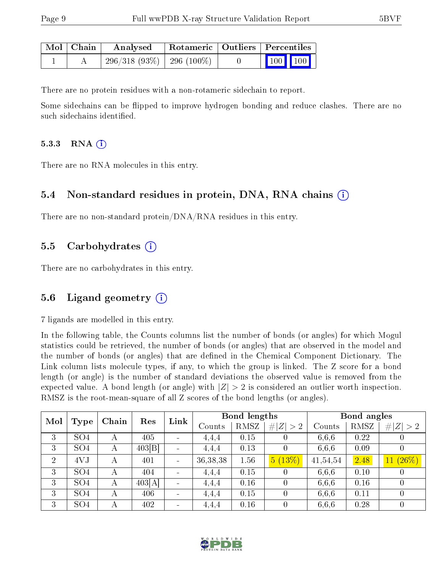| Mol   Chain | Analysed                       | Rotameric   Outliers   Percentiles |  |                 |  |
|-------------|--------------------------------|------------------------------------|--|-----------------|--|
|             | $-296/318(93\%)$   296 (100\%) |                                    |  | $\vert$ 100 100 |  |

There are no protein residues with a non-rotameric sidechain to report.

Some sidechains can be flipped to improve hydrogen bonding and reduce clashes. There are no such sidechains identified.

#### 5.3.3 RNA (1)

There are no RNA molecules in this entry.

#### 5.4 Non-standard residues in protein, DNA, RNA chains (i)

There are no non-standard protein/DNA/RNA residues in this entry.

#### 5.5 Carbohydrates (i)

There are no carbohydrates in this entry.

#### 5.6 Ligand geometry  $(i)$

7 ligands are modelled in this entry.

In the following table, the Counts columns list the number of bonds (or angles) for which Mogul statistics could be retrieved, the number of bonds (or angles) that are observed in the model and the number of bonds (or angles) that are defined in the Chemical Component Dictionary. The Link column lists molecule types, if any, to which the group is linked. The Z score for a bond length (or angle) is the number of standard deviations the observed value is removed from the expected value. A bond length (or angle) with  $|Z| > 2$  is considered an outlier worth inspection. RMSZ is the root-mean-square of all Z scores of the bond lengths (or angles).

| Mol            |                 | Chain |        | Link<br>Res |            | <b>Bond lengths</b> |                  |          | Bond angles |                  |  |
|----------------|-----------------|-------|--------|-------------|------------|---------------------|------------------|----------|-------------|------------------|--|
|                | Type            |       |        |             | Counts     | RMSZ                | # $ Z  > 2$      | Counts   | RMSZ        | # $ Z  > 2$      |  |
| 3              | SO <sub>4</sub> | А     | 405    |             | 4,4,4      | 0.15                |                  | 6,6,6    | 0.22        |                  |  |
| 3              | SO <sub>4</sub> | А     | 403 B  |             | 4,4,4      | 0.13                | $\overline{0}$   | 6,6,6    | 0.09        |                  |  |
| $\overline{2}$ | 4VJ             | А     | 401    |             | 36, 38, 38 | 1.56                | 5(13%)           | 41,54,54 | 2.48        | $11(26\%)$       |  |
| 3              | SO <sub>4</sub> | А     | 404    |             | 4,4,4      | 0.15                | 0                | 6,6,6    | 0.10        |                  |  |
| 3              | SO <sub>4</sub> | А     | 403[A] |             | 4,4,4      | 0.16                | $\left( \right)$ | 6,6,6    | 0.16        |                  |  |
| 3              | SO <sub>4</sub> | А     | 406    |             | 4,4,4      | 0.15                | 0                | 6,6,6    | 0.11        |                  |  |
| 3              | SO <sub>4</sub> | А     | 402    |             | 4,4,4      | 0.16                | $\theta$         | 6,6,6    | 0.28        | $\left( \right)$ |  |

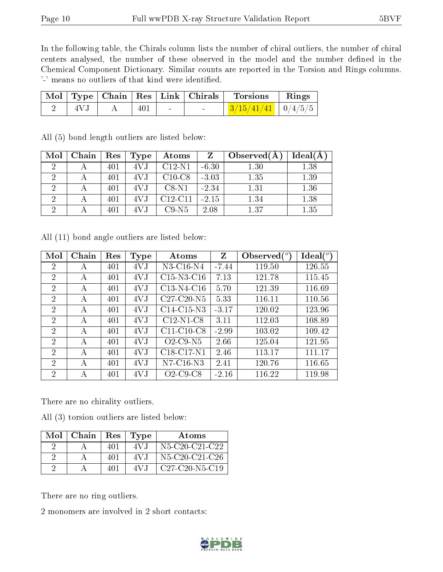In the following table, the Chirals column lists the number of chiral outliers, the number of chiral centers analysed, the number of these observed in the model and the number defined in the Chemical Component Dictionary. Similar counts are reported in the Torsion and Rings columns. '-' means no outliers of that kind were identified.

|     |     |  | Mol   Type   Chain   Res   Link   Chirals   Torsions   Rings |  |
|-----|-----|--|--------------------------------------------------------------|--|
| 4VJ | 401 |  | $\frac{3/15/41/41}{0/4/5/5}$                                 |  |

| Mol | Chain | Res | Type | Atoms     |         | Observe d(A) | $Ideal(\AA)$ |
|-----|-------|-----|------|-----------|---------|--------------|--------------|
| ച   |       | 401 | 4VJ  | $C12-N1$  | $-6.30$ | 1.30         | 1.38         |
| റ   |       | 401 | 4V J | $C10-C8$  | $-3.03$ | 1.35         | 1.39         |
|     |       | 401 | 4V.J | $C8-N1$   | $-2.34$ | 1.31         | 1.36         |
| ച   |       | 401 | 4VJ  | $C12-C11$ | $-2.15$ | 1.34         | 1.38         |
| ച   |       | 401 |      | $C9-N5$   | 2.08    | 1.37         | 1.35         |

All (5) bond length outliers are listed below:

All (11) bond angle outliers are listed below:

| Mol            | Chain | Res | Type | Atoms                                | Z       | Observed $\binom{o}{c}$ | Ideal $(^\circ)$ |
|----------------|-------|-----|------|--------------------------------------|---------|-------------------------|------------------|
| $\overline{2}$ | А     | 401 | 4VJ  | N3-C16-N4                            | $-7.44$ | 119.50                  | 126.55           |
| $\overline{2}$ | А     | 401 | 4VJ  | $C15-N3-C16$                         | 7.13    | 121.78                  | 115.45           |
| $\overline{2}$ | А     | 401 | 4VJ  | C13-N4-C16                           | 5.70    | 121.39                  | 116.69           |
| $\overline{2}$ | А     | 401 | 4VJ  | $C27-C20-N5$                         | 5.33    | 116.11                  | 110.56           |
| 2              | A     | 401 | 4VJ  | $C14-C15-N3$                         | $-3.17$ | 120.02                  | 123.96           |
| $\overline{2}$ | А     | 401 | 4VJ  | $C12-N1-C8$                          | 3.11    | 112.03                  | 108.89           |
| 2              | А     | 401 | 4VJ  | $C11-C10-C8$                         | $-2.99$ | 103.02                  | 109.42           |
| 2              | А     | 401 | 4VJ  | $O2$ -C9-N5                          | 2.66    | 125.04                  | 121.95           |
| $\mathcal{D}$  | A     | 401 | 4VJ  | C18-C17-N1                           | 2.46    | 113.17                  | 111.17           |
| $\mathfrak{D}$ | A     | 401 | 4V.J | $N7-C16-N3$                          | 2.41    | 120.76                  | 116.65           |
| $\overline{2}$ | А     | 401 | 4VJ  | $O2$ -C <sub>9</sub> -C <sub>8</sub> | $-2.16$ | 116.22                  | 119.98           |

There are no chirality outliers.

All (3) torsion outliers are listed below:

| Mol | Chain | Res | Type  | Atoms            |
|-----|-------|-----|-------|------------------|
|     |       | 401 | 4V.I  | $N5-C20-C21-C22$ |
|     |       | 401 | 4 V.I | N5-C20-C21-C26   |
|     |       | 401 | 4 V.I | $C27-C20-N5-C19$ |

There are no ring outliers.

2 monomers are involved in 2 short contacts:

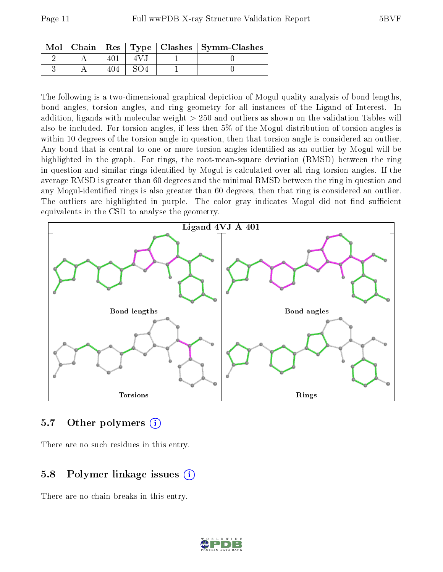|  |  | Mol   Chain   Res   Type   Clashes   Symm-Clashes |
|--|--|---------------------------------------------------|
|  |  |                                                   |
|  |  |                                                   |

The following is a two-dimensional graphical depiction of Mogul quality analysis of bond lengths, bond angles, torsion angles, and ring geometry for all instances of the Ligand of Interest. In addition, ligands with molecular weight > 250 and outliers as shown on the validation Tables will also be included. For torsion angles, if less then 5% of the Mogul distribution of torsion angles is within 10 degrees of the torsion angle in question, then that torsion angle is considered an outlier. Any bond that is central to one or more torsion angles identified as an outlier by Mogul will be highlighted in the graph. For rings, the root-mean-square deviation (RMSD) between the ring in question and similar rings identified by Mogul is calculated over all ring torsion angles. If the average RMSD is greater than 60 degrees and the minimal RMSD between the ring in question and any Mogul-identified rings is also greater than 60 degrees, then that ring is considered an outlier. The outliers are highlighted in purple. The color gray indicates Mogul did not find sufficient equivalents in the CSD to analyse the geometry.



#### 5.7 [O](https://www.wwpdb.org/validation/2017/XrayValidationReportHelp#nonstandard_residues_and_ligands)ther polymers (i)

There are no such residues in this entry.

#### 5.8 Polymer linkage issues (i)

There are no chain breaks in this entry.

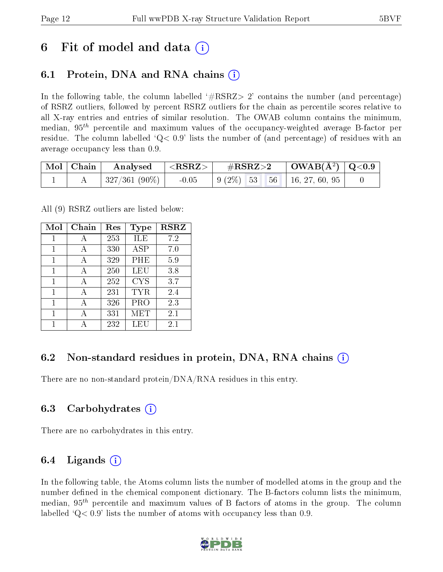## 6 Fit of model and data  $\left( \cdot \right)$

### 6.1 Protein, DNA and RNA chains (i)

In the following table, the column labelled  $#RSRZ>2'$  contains the number (and percentage) of RSRZ outliers, followed by percent RSRZ outliers for the chain as percentile scores relative to all X-ray entries and entries of similar resolution. The OWAB column contains the minimum, median,  $95<sup>th</sup>$  percentile and maximum values of the occupancy-weighted average B-factor per residue. The column labelled  $Q< 0.9$  lists the number of (and percentage) of residues with an average occupancy less than 0.9.

|  | $\mid$ Mol $\mid$ Chain $\mid$ Analysed $\mid$ <rsrz> <math>\mid</math></rsrz> |         | $\rm \#RSRZ{>}2$                                                                                       | $\vert$ OWAB(Å <sup>2</sup> ) $\vert$ Q<0.9 $\vert$ |  |
|--|--------------------------------------------------------------------------------|---------|--------------------------------------------------------------------------------------------------------|-----------------------------------------------------|--|
|  | $ 327/361(90\%) $                                                              | $-0.05$ | $\begin{array}{ c c c c c c c c c } \hline 9 & 2\% & 53 & 56 & 16 & 27 & 60 & 95 \ \hline \end{array}$ |                                                     |  |

All (9) RSRZ outliers are listed below:

| Mol | Chain | $\operatorname{Res}% \left( \mathcal{N}\right) \equiv\operatorname{Res}(\mathcal{N}_{0},\mathcal{N}_{0})$ | <b>Type</b> | <b>RSRZ</b> |
|-----|-------|-----------------------------------------------------------------------------------------------------------|-------------|-------------|
| 1   | А     | 253                                                                                                       | ILE         | 7.2         |
| 1   | A     | 330                                                                                                       | ASP         | 7.0         |
| 1   | A     | 329                                                                                                       | PHE         | 5.9         |
| 1   | А     | 250                                                                                                       | LEU         | 3.8         |
| 1   | A     | 252                                                                                                       | <b>CYS</b>  | 3.7         |
| 1   | А     | 231                                                                                                       | TYR         | 2.4         |
| 1   | А     | 326                                                                                                       | PRO         | 2.3         |
| 1   | А     | 331                                                                                                       | MET         | $2.1\,$     |
|     |       | 232                                                                                                       | LEU         | 2.1         |

### 6.2 Non-standard residues in protein, DNA, RNA chains  $(i)$

There are no non-standard protein/DNA/RNA residues in this entry.

#### 6.3 Carbohydrates (i)

There are no carbohydrates in this entry.

### 6.4 Ligands  $(i)$

In the following table, the Atoms column lists the number of modelled atoms in the group and the number defined in the chemical component dictionary. The B-factors column lists the minimum, median,  $95<sup>th</sup>$  percentile and maximum values of B factors of atoms in the group. The column labelled  $Q< 0.9$  lists the number of atoms with occupancy less than 0.9.